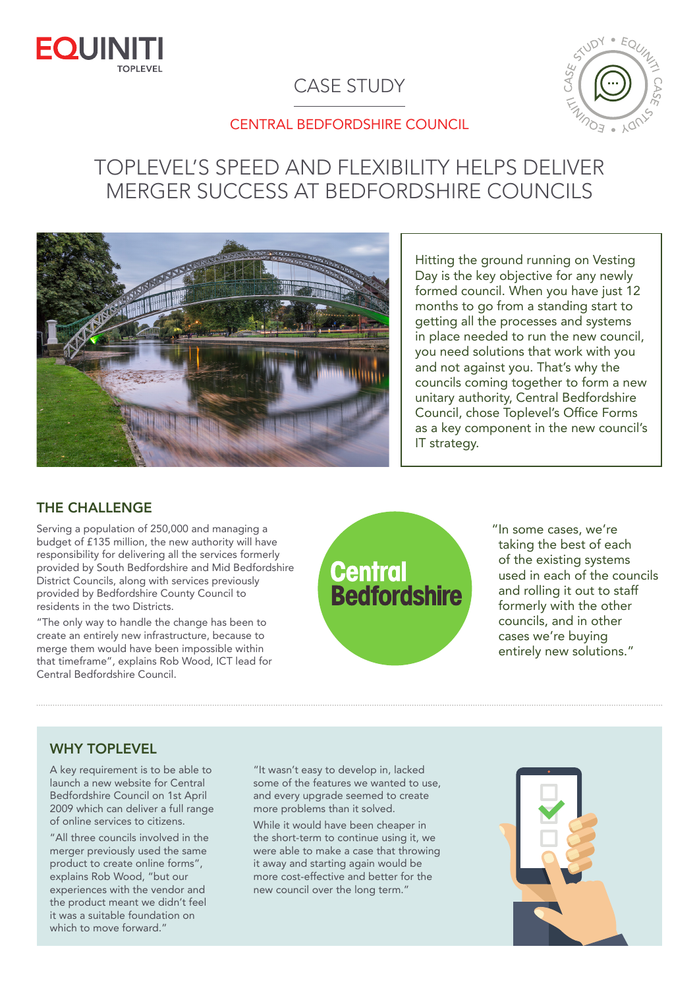

# CASE STUDY



### CENTRAL BEDFORDSHIRE COUNCIL

# TOPLEVEL'S SPEED AND FLEXIBILITY HELPS DELIVER MERGER SUCCESS AT BEDFORDSHIRE COUNCILS



Hitting the ground running on Vesting Day is the key objective for any newly formed council. When you have just 12 months to go from a standing start to getting all the processes and systems in place needed to run the new council, you need solutions that work with you and not against you. That's why the councils coming together to form a new unitary authority, Central Bedfordshire Council, chose Toplevel's Office Forms as a key component in the new council's IT strategy.

## THE CHALLENGE

Serving a population of 250,000 and managing a budget of £135 million, the new authority will have responsibility for delivering all the services formerly provided by South Bedfordshire and Mid Bedfordshire District Councils, along with services previously provided by Bedfordshire County Council to residents in the two Districts.

"The only way to handle the change has been to create an entirely new infrastructure, because to merge them would have been impossible within that timeframe", explains Rob Wood, ICT lead for Central Bedfordshire Council.

# **Central<br>Bedfordshire**

"In some cases, we're taking the best of each of the existing systems used in each of the councils and rolling it out to staff formerly with the other councils, and in other cases we're buying entirely new solutions."

#### WHY TOPLEVEL

A key requirement is to be able to launch a new website for Central Bedfordshire Council on 1st April 2009 which can deliver a full range of online services to citizens.

"All three councils involved in the merger previously used the same product to create online forms", explains Rob Wood, "but our experiences with the vendor and the product meant we didn't feel it was a suitable foundation on which to move forward."

"It wasn't easy to develop in, lacked some of the features we wanted to use, and every upgrade seemed to create more problems than it solved.

While it would have been cheaper in the short-term to continue using it, we were able to make a case that throwing it away and starting again would be more cost-effective and better for the new council over the long term."